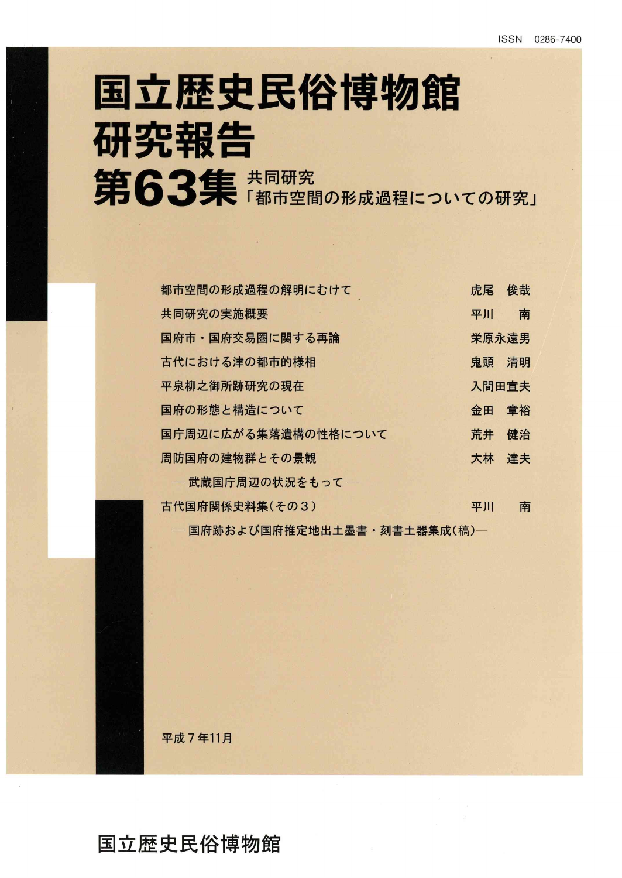# 国立歴史民俗博物館 研究報告 第63集 #同研究

| 都市空間の形成過程の解明にむけて             | 虎尾    | 俊哉    |
|------------------------------|-------|-------|
| 共同研究の実施概要                    | 平川    | 南     |
| 国府市・国府交易圏に関する再論              | 栄原永遠男 |       |
| 古代における津の都市的様相                | 鬼頭    | 清明    |
| 平泉柳之御所跡研究の現在                 |       | 入間田宣夫 |
| 国府の形態と構造について                 | 金田    | 章裕    |
| 国庁周辺に広がる集落遺構の性格について          | 荒井    | 健治    |
| 周防国府の建物群とその景観                | 大林    | 達夫    |
| – 武蔵国庁周辺の状況をもって –            |       |       |
| 古代国府関係史料集(その3)               | 平川    | 南     |
| — 国府跡および国府推定地出土墨書・刻書土器集成(稿)— |       |       |

平成7年11月

### 国立歴史民俗博物館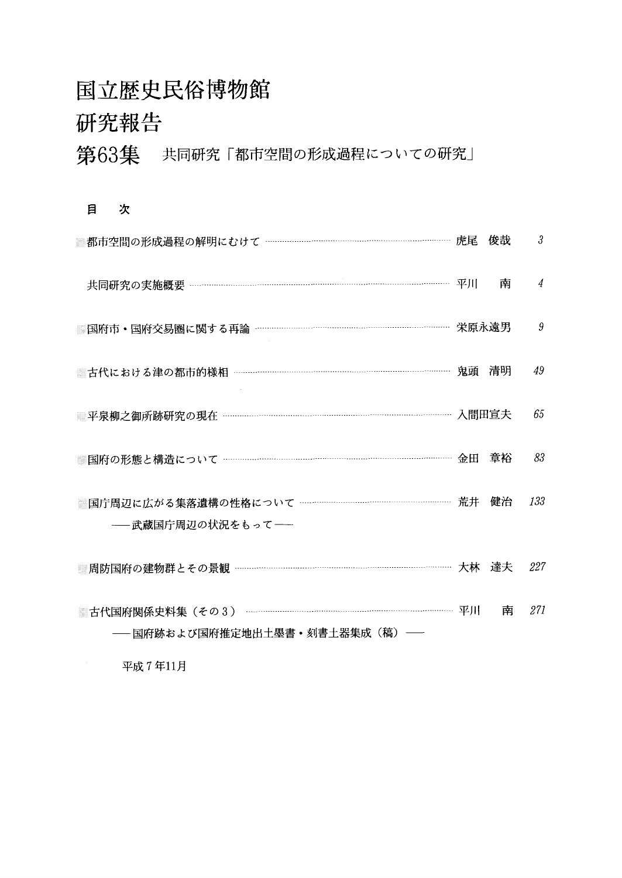## 国立歴史民俗博物館 研究報告

## 第63集 共同研究「都市空間の形成過程についての研究」

#### 目 次

| 都市空間の形成過程の解明にむけて ………………………………………………………………… 虎尾 俊哉                     |    | 3   |
|----------------------------------------------------------------------|----|-----|
|                                                                      |    | 4   |
|                                                                      |    | 9   |
|                                                                      |    | 49  |
|                                                                      |    | 65  |
|                                                                      | 章裕 | 83  |
| ■国庁周辺に広がる集落遺構の性格について …………………………………………………… 荒井 健治<br>――武蔵国庁周辺の状況をもって―― |    | 133 |
|                                                                      |    |     |
|                                                                      |    | 227 |
| − 国府跡および国府推定地出土墨書・刻書土器集成(稿) ──                                       | 南  | 271 |

平成7年11月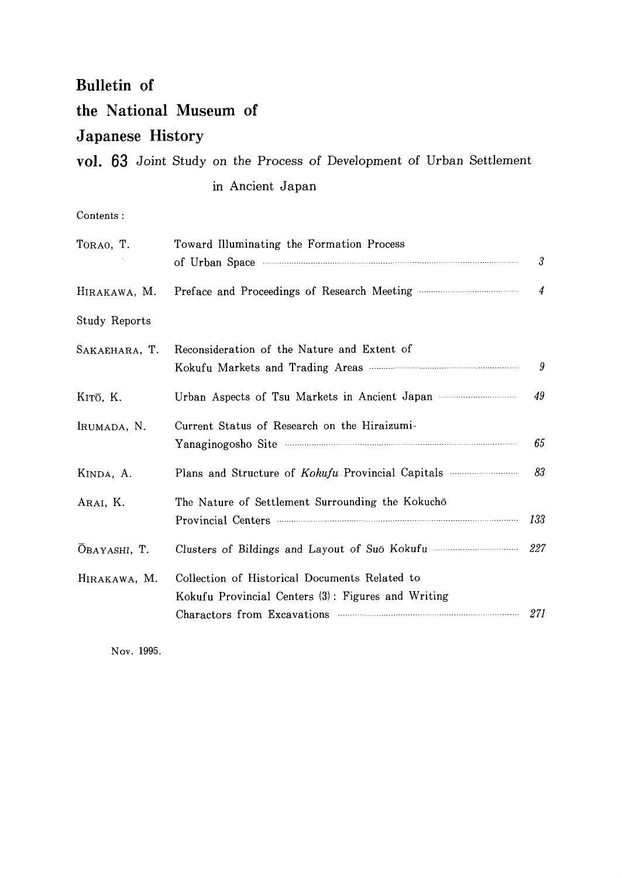#### **Bulletin** of

#### the National Museum of

#### Japanese History

### vol. 63 Joint Study on the Process of Development of Urban Settlement in Ancient Japan

 $Contents:$ 

| TORAO, T.     | Toward Illuminating the Formation Process<br>of Urban Space <b>contract the Space</b> of Urban Space <b>contract the Space</b> of Urban Space <b>contract to the Space of Urban Space</b> | $\mathcal{S}$  |
|---------------|-------------------------------------------------------------------------------------------------------------------------------------------------------------------------------------------|----------------|
| HIRAKAWA, M.  |                                                                                                                                                                                           | $\overline{4}$ |
| Study Reports |                                                                                                                                                                                           |                |
| SAKAEHARA, T. | Reconsideration of the Nature and Extent of                                                                                                                                               | 9              |
| KITO, K.      | Urban Aspects of Tsu Markets in Ancient Japan                                                                                                                                             | 49             |
| IRUMADA, N.   | Current Status of Research on the Hiraizumi-                                                                                                                                              | 65             |
| KINDA, A.     |                                                                                                                                                                                           | 83             |
| ARAI, K.      | The Nature of Settlement Surrounding the Kokuchō<br>Provincial Centers <b>Executive Contents</b>                                                                                          | 133            |
| OBAYASHI, T.  | Clusters of Bildings and Layout of Suō Kokufu                                                                                                                                             | 227            |
| HIRAKAWA, M.  | Collection of Historical Documents Related to<br>Kokufu Provincial Centers (3): Figures and Writing<br>Charactors from Excavations 371                                                    |                |

Nov. 1995.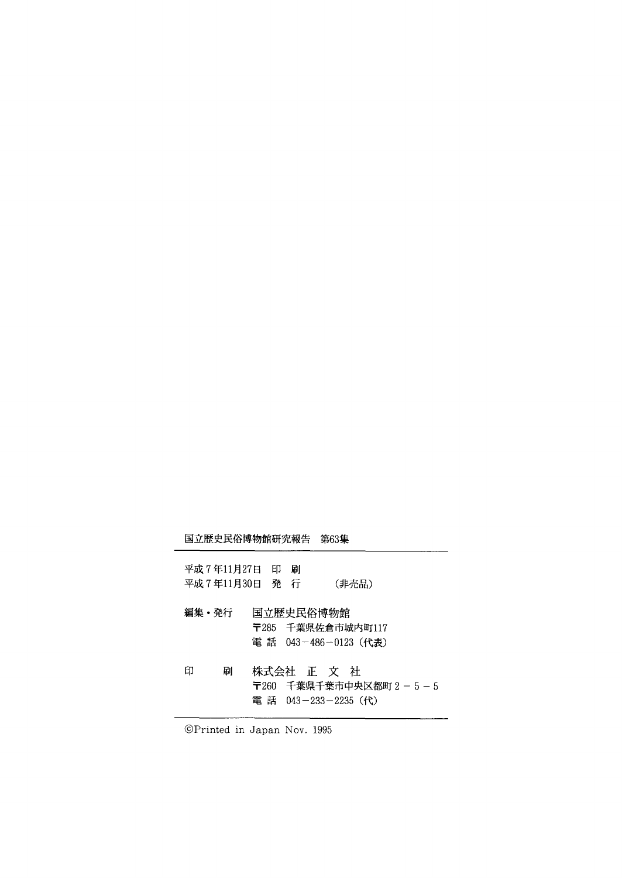#### 国立歴史民俗博物館研究報告 第63集

| 平成7年11月27日 印<br>平成7年11月30日 発行 | 刷          | (非売品)                                     |                       |
|-------------------------------|------------|-------------------------------------------|-----------------------|
| 編集・発行                         | 国立歴史民俗博物館  | 〒285 千葉県佐倉市城内町117<br>電 話 043-486-0123(代表) |                       |
| 印<br>刷                        | 株式会社 正 文 社 | 電 話 043-233-2235(代)                       | 〒260 千葉県千葉市中央区都町2-5-」 |

◎Printed in Japan Nov.1995